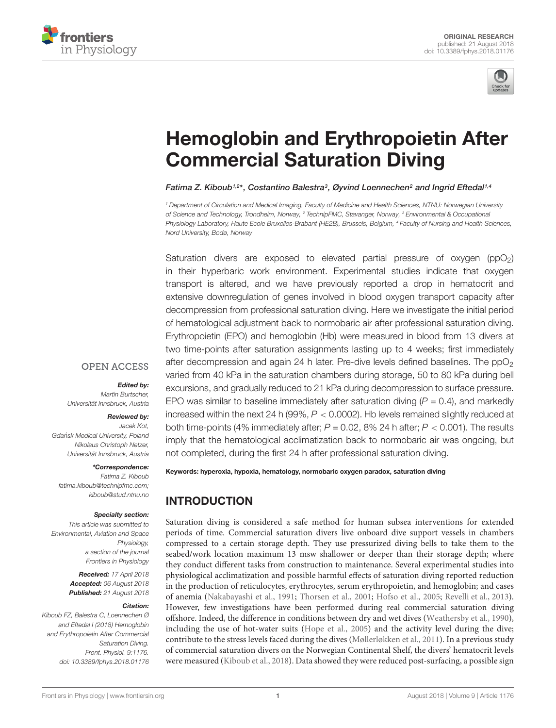



# [Hemoglobin and Erythropoietin After](https://www.frontiersin.org/articles/10.3389/fphys.2018.01176/full) Commercial Saturation Diving

[Fatima Z. Kiboub](http://loop.frontiersin.org/people/552191/overview)1<sup>,2\*</sup>, [Costantino Balestra](http://loop.frontiersin.org/people/241376/overview)<sup>3</sup>, Øyvind Loennechen<sup>2</sup> and [Ingrid Eftedal](http://loop.frontiersin.org/people/417695/overview)<sup>1,4</sup>

<sup>1</sup> Department of Circulation and Medical Imaging, Faculty of Medicine and Health Sciences, NTNU: Norwegian University of Science and Technology, Trondheim, Norway, <sup>2</sup> TechnipFMC, Stavanger, Norway, <sup>3</sup> Environmental & Occupational Physiology Laboratory, Haute Ecole Bruxelles-Brabant (HE2B), Brussels, Belgium, <sup>4</sup> Faculty of Nursing and Health Sciences, Nord University, Bodø, Norway

Saturation divers are exposed to elevated partial pressure of  $\alpha$ ygen (ppO<sub>2</sub>) in their hyperbaric work environment. Experimental studies indicate that oxygen transport is altered, and we have previously reported a drop in hematocrit and extensive downregulation of genes involved in blood oxygen transport capacity after decompression from professional saturation diving. Here we investigate the initial period of hematological adjustment back to normobaric air after professional saturation diving. Erythropoietin (EPO) and hemoglobin (Hb) were measured in blood from 13 divers at two time-points after saturation assignments lasting up to 4 weeks; first immediately after decompression and again 24 h later. Pre-dive levels defined baselines. The  $ppO<sub>2</sub>$ varied from 40 kPa in the saturation chambers during storage, 50 to 80 kPa during bell excursions, and gradually reduced to 21 kPa during decompression to surface pressure. EPO was similar to baseline immediately after saturation diving  $(P = 0.4)$ , and markedly increased within the next 24 h (99%,  $P < 0.0002$ ). Hb levels remained slightly reduced at both time-points (4% immediately after;  $P = 0.02$ , 8% 24 h after;  $P < 0.001$ ). The results imply that the hematological acclimatization back to normobaric air was ongoing, but not completed, during the first 24 h after professional saturation diving.

#### **OPEN ACCESS**

#### Edited by:

Martin Burtscher, Universität Innsbruck, Austria

#### Reviewed by:

Jacek Kot, Gdańsk Medical I Iniversity, Poland Nikolaus Christoph Netzer, Universität Innsbruck, Austria

#### \*Correspondence:

Fatima Z. Kiboub fatima.kiboub@technipfmc.com; kiboub@stud.ntnu.no

#### Specialty section:

This article was submitted to Environmental, Aviation and Space Physiology, a section of the journal Frontiers in Physiology

> Received: 17 April 2018 Accepted: 06 August 2018 Published: 21 August 2018

#### Citation:

Kiboub FZ, Balestra C, Loennechen Ø and Eftedal I (2018) Hemoglobin and Erythropoietin After Commercial Saturation Diving. Front. Physiol. 9:1176. doi: [10.3389/fphys.2018.01176](https://doi.org/10.3389/fphys.2018.01176) Keywords: hyperoxia, hypoxia, hematology, normobaric oxygen paradox, saturation diving

# INTRODUCTION

Saturation diving is considered a safe method for human subsea interventions for extended periods of time. Commercial saturation divers live onboard dive support vessels in chambers compressed to a certain storage depth. They use pressurized diving bells to take them to the seabed/work location maximum 13 msw shallower or deeper than their storage depth; where they conduct different tasks from construction to maintenance. Several experimental studies into physiological acclimatization and possible harmful effects of saturation diving reported reduction in the production of reticulocytes, erythrocytes, serum erythropoietin, and hemoglobin; and cases of anemia [\(Nakabayashi et al.,](#page-4-0) [1991;](#page-4-0) [Thorsen et al.,](#page-4-1) [2001;](#page-4-1) [Hofso et al.,](#page-4-2) [2005;](#page-4-2) [Revelli et al.,](#page-4-3) [2013\)](#page-4-3). However, few investigations have been performed during real commercial saturation diving offshore. Indeed, the difference in conditions between dry and wet dives [\(Weathersby et al.,](#page-4-4) [1990\)](#page-4-4), including the use of hot-water suits [\(Hope et al.,](#page-4-5) [2005\)](#page-4-5) and the activity level during the dive; contribute to the stress levels faced during the dives [\(Møllerløkken et al.,](#page-4-6) [2011\)](#page-4-6). In a previous study of commercial saturation divers on the Norwegian Continental Shelf, the divers' hematocrit levels were measured [\(Kiboub et al.,](#page-4-7) [2018\)](#page-4-7). Data showed they were reduced post-surfacing, a possible sign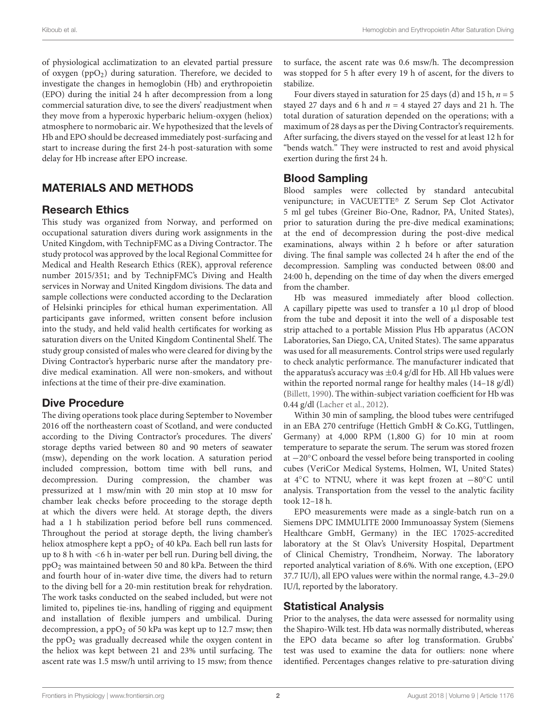of physiological acclimatization to an elevated partial pressure of oxygen ( $ppO<sub>2</sub>$ ) during saturation. Therefore, we decided to investigate the changes in hemoglobin (Hb) and erythropoietin (EPO) during the initial 24 h after decompression from a long commercial saturation dive, to see the divers' readjustment when they move from a hyperoxic hyperbaric helium-oxygen (heliox) atmosphere to normobaric air. We hypothesized that the levels of Hb and EPO should be decreased immediately post-surfacing and start to increase during the first 24-h post-saturation with some delay for Hb increase after EPO increase.

## MATERIALS AND METHODS

#### Research Ethics

This study was organized from Norway, and performed on occupational saturation divers during work assignments in the United Kingdom, with TechnipFMC as a Diving Contractor. The study protocol was approved by the local Regional Committee for Medical and Health Research Ethics (REK), approval reference number 2015/351; and by TechnipFMC's Diving and Health services in Norway and United Kingdom divisions. The data and sample collections were conducted according to the Declaration of Helsinki principles for ethical human experimentation. All participants gave informed, written consent before inclusion into the study, and held valid health certificates for working as saturation divers on the United Kingdom Continental Shelf. The study group consisted of males who were cleared for diving by the Diving Contractor's hyperbaric nurse after the mandatory predive medical examination. All were non-smokers, and without infections at the time of their pre-dive examination.

## Dive Procedure

The diving operations took place during September to November 2016 off the northeastern coast of Scotland, and were conducted according to the Diving Contractor's procedures. The divers' storage depths varied between 80 and 90 meters of seawater (msw), depending on the work location. A saturation period included compression, bottom time with bell runs, and decompression. During compression, the chamber was pressurized at 1 msw/min with 20 min stop at 10 msw for chamber leak checks before proceeding to the storage depth at which the divers were held. At storage depth, the divers had a 1 h stabilization period before bell runs commenced. Throughout the period at storage depth, the living chamber's heliox atmosphere kept a ppO<sub>2</sub> of 40 kPa. Each bell run lasts for up to 8 h with <6 h in-water per bell run. During bell diving, the ppO<sup>2</sup> was maintained between 50 and 80 kPa. Between the third and fourth hour of in-water dive time, the divers had to return to the diving bell for a 20-min restitution break for rehydration. The work tasks conducted on the seabed included, but were not limited to, pipelines tie-ins, handling of rigging and equipment and installation of flexible jumpers and umbilical. During decompression, a  $ppO<sub>2</sub>$  of 50 kPa was kept up to 12.7 msw; then the  $ppO<sub>2</sub>$  was gradually decreased while the oxygen content in the heliox was kept between 21 and 23% until surfacing. The ascent rate was 1.5 msw/h until arriving to 15 msw; from thence

to surface, the ascent rate was 0.6 msw/h. The decompression was stopped for 5 h after every 19 h of ascent, for the divers to stabilize.

Four divers stayed in saturation for 25 days (d) and 15 h,  $n = 5$ stayed 27 days and 6 h and  $n = 4$  stayed 27 days and 21 h. The total duration of saturation depended on the operations; with a maximum of 28 days as per the Diving Contractor's requirements. After surfacing, the divers stayed on the vessel for at least 12 h for "bends watch." They were instructed to rest and avoid physical exertion during the first 24 h.

### Blood Sampling

Blood samples were collected by standard antecubital venipuncture; in VACUETTE® Z Serum Sep Clot Activator 5 ml gel tubes (Greiner Bio-One, Radnor, PA, United States), prior to saturation during the pre-dive medical examinations; at the end of decompression during the post-dive medical examinations, always within 2 h before or after saturation diving. The final sample was collected 24 h after the end of the decompression. Sampling was conducted between 08:00 and 24:00 h, depending on the time of day when the divers emerged from the chamber.

Hb was measured immediately after blood collection. A capillary pipette was used to transfer a 10 µl drop of blood from the tube and deposit it into the well of a disposable test strip attached to a portable Mission Plus Hb apparatus (ACON Laboratories, San Diego, CA, United States). The same apparatus was used for all measurements. Control strips were used regularly to check analytic performance. The manufacturer indicated that the apparatus's accuracy was  $\pm$ 0.4 g/dl for Hb. All Hb values were within the reported normal range for healthy males (14–18 g/dl) [\(Billett,](#page-4-8) [1990\)](#page-4-8). The within-subject variation coefficient for Hb was 0.44 g/dl [\(Lacher et al.,](#page-4-9) [2012\)](#page-4-9).

Within 30 min of sampling, the blood tubes were centrifuged in an EBA 270 centrifuge (Hettich GmbH & Co.KG, Tuttlingen, Germany) at 4,000 RPM (1,800 G) for 10 min at room temperature to separate the serum. The serum was stored frozen at −20◦C onboard the vessel before being transported in cooling cubes (VeriCor Medical Systems, Holmen, WI, United States) at 4◦C to NTNU, where it was kept frozen at −80◦C until analysis. Transportation from the vessel to the analytic facility took 12–18 h.

EPO measurements were made as a single-batch run on a Siemens DPC IMMULITE 2000 Immunoassay System (Siemens Healthcare GmbH, Germany) in the IEC 17025-accredited laboratory at the St Olav's University Hospital, Department of Clinical Chemistry, Trondheim, Norway. The laboratory reported analytical variation of 8.6%. With one exception, (EPO 37.7 IU/l), all EPO values were within the normal range, 4.3–29.0 IU/l, reported by the laboratory.

#### Statistical Analysis

Prior to the analyses, the data were assessed for normality using the Shapiro-Wilk test. Hb data was normally distributed, whereas the EPO data became so after log transformation. Grubbs' test was used to examine the data for outliers: none where identified. Percentages changes relative to pre-saturation diving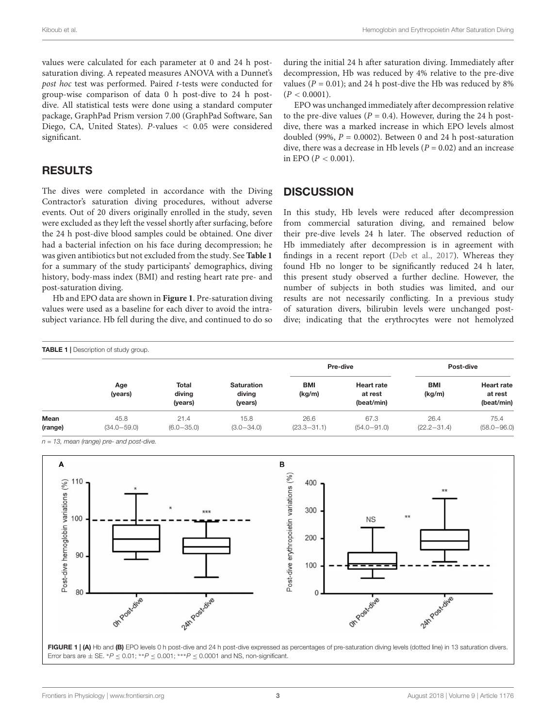values were calculated for each parameter at 0 and 24 h postsaturation diving. A repeated measures ANOVA with a Dunnet's post hoc test was performed. Paired t-tests were conducted for group-wise comparison of data 0 h post-dive to 24 h postdive. All statistical tests were done using a standard computer package, GraphPad Prism version 7.00 (GraphPad Software, San Diego, CA, United States). P-values < 0.05 were considered significant.

## RESULTS

The dives were completed in accordance with the Diving Contractor's saturation diving procedures, without adverse events. Out of 20 divers originally enrolled in the study, seven were excluded as they left the vessel shortly after surfacing, before the 24 h post-dive blood samples could be obtained. One diver had a bacterial infection on his face during decompression; he was given antibiotics but not excluded from the study. See **[Table 1](#page-2-0)** for a summary of the study participants' demographics, diving history, body-mass index (BMI) and resting heart rate pre- and post-saturation diving.

Hb and EPO data are shown in **[Figure 1](#page-2-1)**. Pre-saturation diving values were used as a baseline for each diver to avoid the intrasubject variance. Hb fell during the dive, and continued to do so during the initial 24 h after saturation diving. Immediately after decompression, Hb was reduced by 4% relative to the pre-dive values ( $P = 0.01$ ); and 24 h post-dive the Hb was reduced by 8%  $(P < 0.0001)$ .

EPO was unchanged immediately after decompression relative to the pre-dive values ( $P = 0.4$ ). However, during the 24 h postdive, there was a marked increase in which EPO levels almost doubled (99%,  $P = 0.0002$ ). Between 0 and 24 h post-saturation dive, there was a decrease in Hb levels ( $P = 0.02$ ) and an increase in EPO ( $P < 0.001$ ).

#### **DISCUSSION**

In this study, Hb levels were reduced after decompression from commercial saturation diving, and remained below their pre-dive levels 24 h later. The observed reduction of Hb immediately after decompression is in agreement with findings in a recent report [\(Deb et al.,](#page-4-10) [2017\)](#page-4-10). Whereas they found Hb no longer to be significantly reduced 24 h later, this present study observed a further decline. However, the number of subjects in both studies was limited, and our results are not necessarily conflicting. In a previous study of saturation divers, bilirubin levels were unchanged postdive; indicating that the erythrocytes were not hemolyzed

<span id="page-2-0"></span>

| <b>TABLE 1</b>   Description of study group. |                         |                                   |                                        |                         |                                            |                         |                                            |
|----------------------------------------------|-------------------------|-----------------------------------|----------------------------------------|-------------------------|--------------------------------------------|-------------------------|--------------------------------------------|
|                                              | Age<br>(years)          | <b>Total</b><br>diving<br>(years) | <b>Saturation</b><br>diving<br>(years) | Pre-dive                |                                            | Post-dive               |                                            |
|                                              |                         |                                   |                                        | <b>BMI</b><br>(kg/m)    | <b>Heart rate</b><br>at rest<br>(beat/min) | <b>BMI</b><br>(kg/m)    | <b>Heart rate</b><br>at rest<br>(beat/min) |
| Mean<br>(range)                              | 45.8<br>$(34.0 - 59.0)$ | 21.4<br>$(6.0 - 35.0)$            | 15.8<br>$(3.0 - 34.0)$                 | 26.6<br>$(23.3 - 31.1)$ | 67.3<br>$(54.0 - 91.0)$                    | 26.4<br>$(22.2 - 31.4)$ | 75.4<br>$(58.0 - 96.0)$                    |

 $n = 13$ , mean (range) pre- and post-dive.

<span id="page-2-1"></span>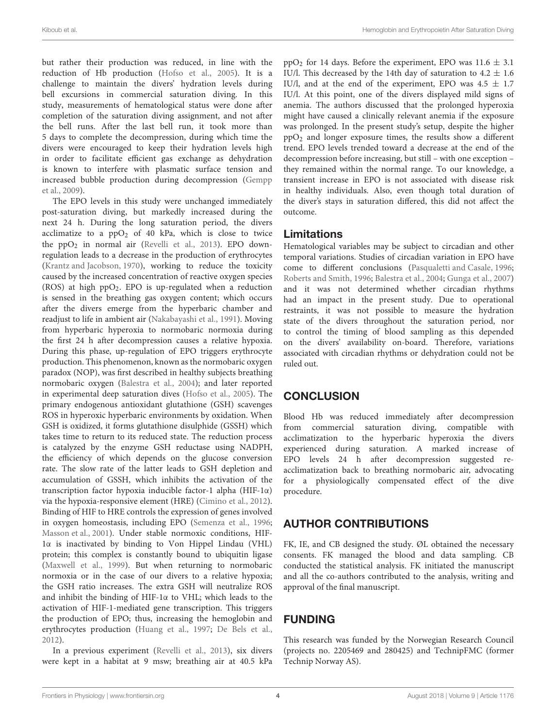but rather their production was reduced, in line with the reduction of Hb production [\(Hofso et al.,](#page-4-2) [2005\)](#page-4-2). It is a challenge to maintain the divers' hydration levels during bell excursions in commercial saturation diving. In this study, measurements of hematological status were done after completion of the saturation diving assignment, and not after the bell runs. After the last bell run, it took more than 5 days to complete the decompression, during which time the divers were encouraged to keep their hydration levels high in order to facilitate efficient gas exchange as dehydration is known to interfere with plasmatic surface tension and increased bubble production during decompression [\(Gempp](#page-4-11) [et al.,](#page-4-11) [2009\)](#page-4-11).

The EPO levels in this study were unchanged immediately post-saturation diving, but markedly increased during the next 24 h. During the long saturation period, the divers acclimatize to a  $ppO<sub>2</sub>$  of 40 kPa, which is close to twice the  $ppO<sub>2</sub>$  in normal air [\(Revelli et al.,](#page-4-3) [2013\)](#page-4-3). EPO downregulation leads to a decrease in the production of erythrocytes [\(Krantz and Jacobson,](#page-4-12) [1970\)](#page-4-12), working to reduce the toxicity caused by the increased concentration of reactive oxygen species (ROS) at high  $ppO<sub>2</sub>$ . EPO is up-regulated when a reduction is sensed in the breathing gas oxygen content; which occurs after the divers emerge from the hyperbaric chamber and readjust to life in ambient air [\(Nakabayashi et al.,](#page-4-0) [1991\)](#page-4-0). Moving from hyperbaric hyperoxia to normobaric normoxia during the first 24 h after decompression causes a relative hypoxia. During this phase, up-regulation of EPO triggers erythrocyte production. This phenomenon, known as the normobaric oxygen paradox (NOP), was first described in healthy subjects breathing normobaric oxygen [\(Balestra et al.,](#page-4-13) [2004\)](#page-4-13); and later reported in experimental deep saturation dives [\(Hofso et al.,](#page-4-2) [2005\)](#page-4-2). The primary endogenous antioxidant glutathione (GSH) scavenges ROS in hyperoxic hyperbaric environments by oxidation. When GSH is oxidized, it forms glutathione disulphide (GSSH) which takes time to return to its reduced state. The reduction process is catalyzed by the enzyme GSH reductase using NADPH, the efficiency of which depends on the glucose conversion rate. The slow rate of the latter leads to GSH depletion and accumulation of GSSH, which inhibits the activation of the transcription factor hypoxia inducible factor-1 alpha (HIF-1α) via the hypoxia-responsive element (HRE) [\(Cimino et al.,](#page-4-14) [2012\)](#page-4-14). Binding of HIF to HRE controls the expression of genes involved in oxygen homeostasis, including EPO [\(Semenza et al.,](#page-4-15) [1996;](#page-4-15) [Masson et al.,](#page-4-16) [2001\)](#page-4-16). Under stable normoxic conditions, HIF-1α is inactivated by binding to Von Hippel Lindau (VHL) protein; this complex is constantly bound to ubiquitin ligase [\(Maxwell et al.,](#page-4-17) [1999\)](#page-4-17). But when returning to normobaric normoxia or in the case of our divers to a relative hypoxia; the GSH ratio increases. The extra GSH will neutralize ROS and inhibit the binding of HIF-1α to VHL; which leads to the activation of HIF-1-mediated gene transcription. This triggers the production of EPO; thus, increasing the hemoglobin and erythrocytes production [\(Huang et al.,](#page-4-18) [1997;](#page-4-18) [De Bels et al.,](#page-4-19) [2012\)](#page-4-19).

In a previous experiment [\(Revelli et al.,](#page-4-3) [2013\)](#page-4-3), six divers were kept in a habitat at 9 msw; breathing air at 40.5 kPa

ppO<sub>2</sub> for 14 days. Before the experiment, EPO was  $11.6 \pm 3.1$ IU/l. This decreased by the 14th day of saturation to  $4.2 \pm 1.6$ IU/l, and at the end of the experiment, EPO was  $4.5 \pm 1.7$ IU/l. At this point, one of the divers displayed mild signs of anemia. The authors discussed that the prolonged hyperoxia might have caused a clinically relevant anemia if the exposure was prolonged. In the present study's setup, despite the higher  $ppO<sub>2</sub>$  and longer exposure times, the results show a different trend. EPO levels trended toward a decrease at the end of the decompression before increasing, but still – with one exception – they remained within the normal range. To our knowledge, a transient increase in EPO is not associated with disease risk in healthy individuals. Also, even though total duration of the diver's stays in saturation differed, this did not affect the outcome.

## Limitations

Hematological variables may be subject to circadian and other temporal variations. Studies of circadian variation in EPO have come to different conclusions [\(Pasqualetti and Casale,](#page-4-20) [1996;](#page-4-20) [Roberts and Smith,](#page-4-21) [1996;](#page-4-21) [Balestra et al.,](#page-4-13) [2004;](#page-4-13) [Gunga et al.,](#page-4-22) [2007\)](#page-4-22) and it was not determined whether circadian rhythms had an impact in the present study. Due to operational restraints, it was not possible to measure the hydration state of the divers throughout the saturation period, nor to control the timing of blood sampling as this depended on the divers' availability on-board. Therefore, variations associated with circadian rhythms or dehydration could not be ruled out.

# **CONCLUSION**

Blood Hb was reduced immediately after decompression from commercial saturation diving, compatible with acclimatization to the hyperbaric hyperoxia the divers experienced during saturation. A marked increase of EPO levels 24 h after decompression suggested reacclimatization back to breathing normobaric air, advocating for a physiologically compensated effect of the dive procedure.

# AUTHOR CONTRIBUTIONS

FK, IE, and CB designed the study. ØL obtained the necessary consents. FK managed the blood and data sampling. CB conducted the statistical analysis. FK initiated the manuscript and all the co-authors contributed to the analysis, writing and approval of the final manuscript.

# FUNDING

This research was funded by the Norwegian Research Council (projects no. 2205469 and 280425) and TechnipFMC (former Technip Norway AS).